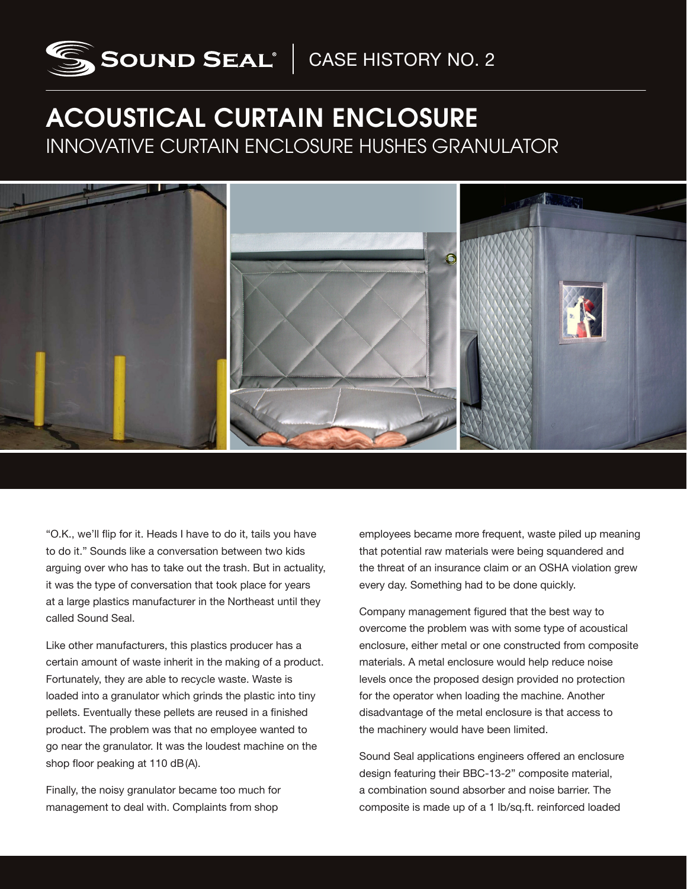

## ACOUSTICAL CURTAIN ENCLOSURE INNOVATIVE CURTAIN ENCLOSURE HUSHES GRANULATOR

"O.K., we'll flip for it. Heads I have to do it, tails you have to do it." Sounds like a conversation between two kids arguing over who has to take out the trash. But in actuality, it was the type of conversation that took place for years at a large plastics manufacturer in the Northeast until they called Sound Seal.

Like other manufacturers, this plastics producer has a certain amount of waste inherit in the making of a product. Fortunately, they are able to recycle waste. Waste is loaded into a granulator which grinds the plastic into tiny pellets. Eventually these pellets are reused in a finished product. The problem was that no employee wanted to go near the granulator. It was the loudest machine on the shop floor peaking at 110 dB(A).

Finally, the noisy granulator became too much for management to deal with. Complaints from shop

employees became more frequent, waste piled up meaning that potential raw materials were being squandered and the threat of an insurance claim or an OSHA violation grew every day. Something had to be done quickly.

Company management figured that the best way to overcome the problem was with some type of acoustical enclosure, either metal or one constructed from composite materials. A metal enclosure would help reduce noise levels once the proposed design provided no protection for the operator when loading the machine. Another disadvantage of the metal enclosure is that access to the machinery would have been limited.

Sound Seal applications engineers offered an enclosure design featuring their BBC-13-2" composite material, a combination sound absorber and noise barrier. The composite is made up of a 1 lb/sq.ft. reinforced loaded